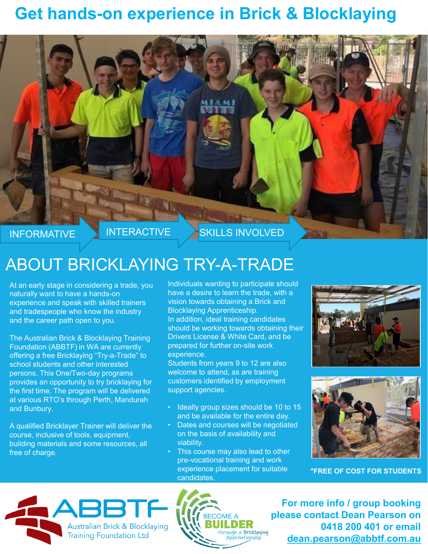## **Get hands-on experience in Brick & Blocklaying**



## ABOUT BRICKLAYING TRY-A-TRADE

At an early stage in considering a trade, you naturally want to have a hands-on experience and speak with skilled trainers and tradespeople who know the industry and the career path open to you.

The Australian Brick & Blocklaying Training Foundation (ABBTF) in WA are currently offering a free Bricklaying "Try-a-Trade" to school students and other interested persons. This One/Two-day programs provides an opportunity to try bricklaying for the first time. The program will be delivered at various RTO's through Perth, Mandurah and Bunbury.

A qualified Bricklayer Trainer will deliver the course, inclusive of tools, equipment, building materials and some resources, all free of charge.

Individuals wanting to participate should have a desire to learn the trade, with a vision towards obtaining a Brick and Blocklaying Apprenticeship. In addition, ideal training candidates should be working towards obtaining their Drivers License & White Card, and be prepared for further on-site work experience.

Students from years 9 to 12 are also welcome to attend, as are training customers identified by employment support agencies.

- Ideally group sizes should be 10 to 15 and be available for the entire day.
- Dates and courses will be negotiated on the basis of availability and viability.
- This course may also lead to other pre-vocational training and work experience placement for suitable candidates.





**\*FREE OF COST FOR STUDENTS**





**For more info / group booking please contact Dean Pearson on 0418 200 401 or email [dean.pearson@abbtf.com.au](mailto:dean.pearson@abbtf.com.au)**